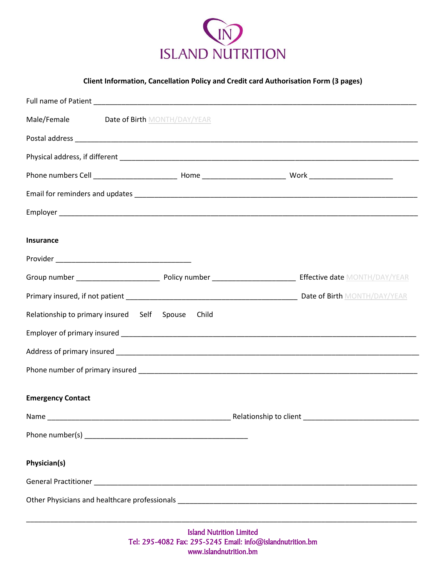

**Client Information, Cancellation Policy and Credit card Authorisation Form (3 pages)**

| Male/Female<br>Date of Birth MONTH/DAY/YEAR       |                                      |
|---------------------------------------------------|--------------------------------------|
|                                                   |                                      |
|                                                   |                                      |
|                                                   |                                      |
|                                                   |                                      |
|                                                   |                                      |
| <b>Insurance</b>                                  |                                      |
|                                                   |                                      |
|                                                   |                                      |
|                                                   |                                      |
| Relationship to primary insured Self Spouse Child |                                      |
|                                                   |                                      |
|                                                   |                                      |
|                                                   |                                      |
| <b>Emergency Contact</b>                          |                                      |
| Name                                              | Relationship to client _____________ |
|                                                   |                                      |
| Physician(s)                                      |                                      |
|                                                   |                                      |
|                                                   |                                      |

\_\_\_\_\_\_\_\_\_\_\_\_\_\_\_\_\_\_\_\_\_\_\_\_\_\_\_\_\_\_\_\_\_\_\_\_\_\_\_\_\_\_\_\_\_\_\_\_\_\_\_\_\_\_\_\_\_\_\_\_\_\_\_\_\_\_\_\_\_\_\_\_\_\_\_\_\_\_\_\_\_\_\_\_\_\_\_\_\_\_\_\_\_\_\_\_\_\_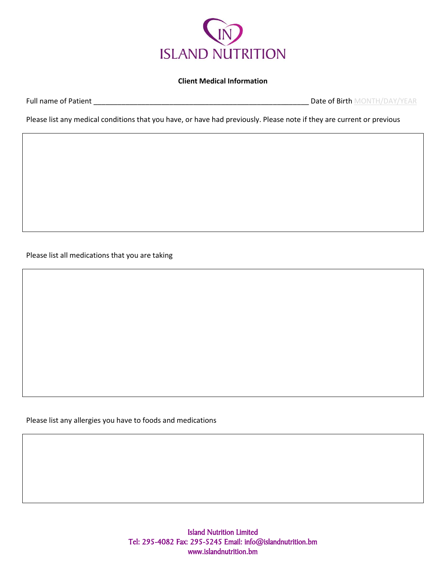

## **Client Medical Information**

Full name of Patient \_\_\_\_\_\_\_\_\_\_\_\_\_\_\_\_\_\_\_\_\_\_\_\_\_\_\_\_\_\_\_\_\_\_\_\_\_\_\_\_\_\_\_\_\_\_\_\_\_\_\_\_\_\_ Date of Birth MONTH/DAY/YEAR

Please list any medical conditions that you have, or have had previously. Please note if they are current or previous

Please list all medications that you are taking

Please list any allergies you have to foods and medications

Island Nutrition Limited Tel: 295-4082 Fax: 295-5245 Email: info@islandnutrition.bm www.islandnutrition.bm